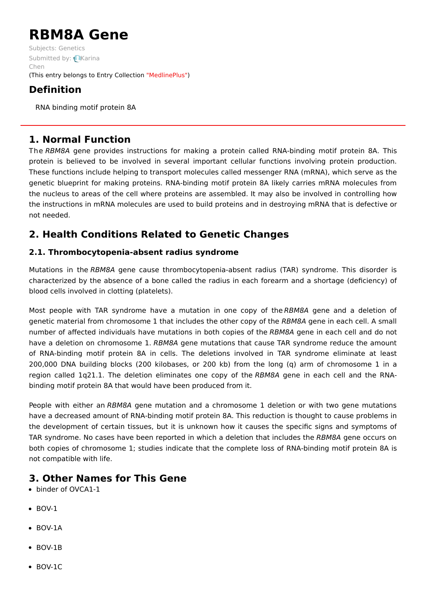# **RBM8A Gene**

Subjects: [Genetics](https://encyclopedia.pub/item/subject/56) [Submitted](https://sciprofiles.com/profile/1287767) by: Karina Chen (This entry belongs to Entry Collection ["MedlinePlus"](https://encyclopedia.pub/entry/collection/24))

# **Definition**

RNA binding motif protein 8A

# **1. Normal Function**

The RBM8A gene provides instructions for making a protein called RNA-binding motif protein 8A. This protein is believed to be involved in several important cellular functions involving protein production. These functions include helping to transport molecules called messenger RNA (mRNA), which serve as the genetic blueprint for making proteins. RNA-binding motif protein 8A likely carries mRNA molecules from the nucleus to areas of the cell where proteins are assembled. It may also be involved in controlling how the instructions in mRNA molecules are used to build proteins and in destroying mRNA that is defective or not needed.

# **2. Health Conditions Related to Genetic Changes**

## **2.1. Thrombocytopenia-absent radius syndrome**

Mutations in the RBM8A gene cause thrombocytopenia-absent radius (TAR) syndrome. This disorder is characterized by the absence of a bone called the radius in each forearm and a shortage (deficiency) of blood cells involved in clotting (platelets).

Most people with TAR syndrome have a mutation in one copy of the RBM8A gene and a deletion of genetic material from chromosome 1 that includes the other copy of the RBM8A gene in each cell. A small number of affected individuals have mutations in both copies of the RBM8A gene in each cell and do not have a deletion on chromosome 1. RBM8A gene mutations that cause TAR syndrome reduce the amount of RNA-binding motif protein 8A in cells. The deletions involved in TAR syndrome eliminate at least 200,000 DNA building blocks (200 kilobases, or 200 kb) from the long (q) arm of chromosome 1 in a region called 1q21.1. The deletion eliminates one copy of the RBM8A gene in each cell and the RNAbinding motif protein 8A that would have been produced from it.

People with either an RBM8A gene mutation and a chromosome 1 deletion or with two gene mutations have a decreased amount of RNA-binding motif protein 8A. This reduction is thought to cause problems in the development of certain tissues, but it is unknown how it causes the specific signs and symptoms of TAR syndrome. No cases have been reported in which a deletion that includes the RBM8A gene occurs on both copies of chromosome 1; studies indicate that the complete loss of RNA-binding motif protein 8A is not compatible with life.

## **3. Other Names for This Gene**

- binder of OVCA1-1
- $\bullet$  BOV-1
- BOV-1A
- $\bullet$  BOV-1B
- BOV-1C